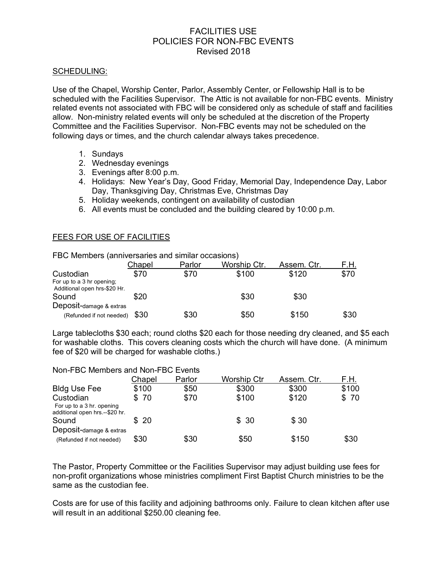# FACILITIES USE POLICIES FOR NON-FBC EVENTS Revised 2018

#### SCHEDULING:

Use of the Chapel, Worship Center, Parlor, Assembly Center, or Fellowship Hall is to be scheduled with the Facilities Supervisor. The Attic is not available for non-FBC events. Ministry related events not associated with FBC will be considered only as schedule of staff and facilities allow. Non-ministry related events will only be scheduled at the discretion of the Property Committee and the Facilities Supervisor. Non-FBC events may not be scheduled on the following days or times, and the church calendar always takes precedence.

- 1. Sundays
- 2. Wednesday evenings
- 3. Evenings after 8:00 p.m.
- 4. Holidays: New Year's Day, Good Friday, Memorial Day, Independence Day, Labor Day, Thanksgiving Day, Christmas Eve, Christmas Day
- 5. Holiday weekends, contingent on availability of custodian
- 6. All events must be concluded and the building cleared by 10:00 p.m.

## FEES FOR USE OF FACILITIES

| FBC Members (anniversaries and similar occasions)         |        |        |              |             |      |
|-----------------------------------------------------------|--------|--------|--------------|-------------|------|
|                                                           | Chapel | Parlor | Worship Ctr. | Assem. Ctr. | F.H. |
| Custodian                                                 | \$70   | \$70   | \$100        | \$120       | \$70 |
| For up to a 3 hr opening;<br>Additional open hrs-\$20 Hr. |        |        |              |             |      |
| Sound                                                     | \$20   |        | \$30         | \$30        |      |
| Deposit-damage & extras                                   |        |        |              |             |      |
| (Refunded if not needed)                                  | \$30   | \$30   | \$50         | \$150       | \$30 |

Large tablecloths \$30 each; round cloths \$20 each for those needing dry cleaned, and \$5 each for washable cloths. This covers cleaning costs which the church will have done. (A minimum fee of \$20 will be charged for washable cloths.)

#### Non-FBC Members and Non-FBC Events

|                                                                          | Chapel | Parlor | <b>Worship Ctr</b> | Assem. Ctr. | F.H.  |
|--------------------------------------------------------------------------|--------|--------|--------------------|-------------|-------|
| <b>Bldg Use Fee</b>                                                      | \$100  | \$50   | \$300              | \$300       | \$100 |
| Custodian<br>For up to a 3 hr. opening<br>additional open hrs.--\$20 hr. | \$70   | \$70   | \$100              | \$120       | \$70  |
| Sound                                                                    | \$20   |        | \$30               | \$30        |       |
| Deposit-damage & extras                                                  |        |        |                    |             |       |
| (Refunded if not needed)                                                 | \$30   | \$30   | \$50               | \$150       | \$30  |

The Pastor, Property Committee or the Facilities Supervisor may adjust building use fees for non-profit organizations whose ministries compliment First Baptist Church ministries to be the same as the custodian fee.

Costs are for use of this facility and adjoining bathrooms only. Failure to clean kitchen after use will result in an additional \$250.00 cleaning fee.